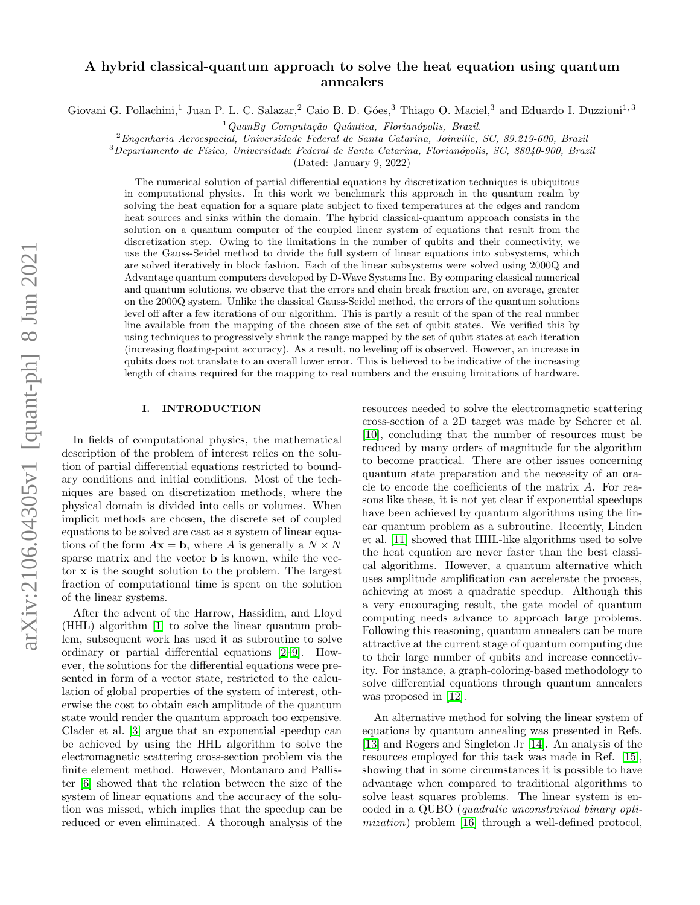# arXiv:2106.04305v1 [quant-ph] 8 Jun 2021 arXiv:2106.04305v1 [quant-ph] 8 Jun 2021

# A hybrid classical-quantum approach to solve the heat equation using quantum annealers

Giovani G. Pollachini,<sup>1</sup> Juan P. L. C. Salazar,<sup>2</sup> Caio B. D. Góes,<sup>3</sup> Thiago O. Maciel,<sup>3</sup> and Eduardo I. Duzzioni<sup>1, 3</sup>

 $1$ QuanBy Computação Quântica, Florianópolis, Brazil.

<sup>2</sup>Engenharia Aeroespacial, Universidade Federal de Santa Catarina, Joinville, SC, 89.219-600, Brazil

 $3$ Departamento de Física, Universidade Federal de Santa Catarina, Florianópolis, SC, 88040-900, Brazil

(Dated: January 9, 2022)

The numerical solution of partial differential equations by discretization techniques is ubiquitous in computational physics. In this work we benchmark this approach in the quantum realm by solving the heat equation for a square plate subject to fixed temperatures at the edges and random heat sources and sinks within the domain. The hybrid classical-quantum approach consists in the solution on a quantum computer of the coupled linear system of equations that result from the discretization step. Owing to the limitations in the number of qubits and their connectivity, we use the Gauss-Seidel method to divide the full system of linear equations into subsystems, which are solved iteratively in block fashion. Each of the linear subsystems were solved using 2000Q and Advantage quantum computers developed by D-Wave Systems Inc. By comparing classical numerical and quantum solutions, we observe that the errors and chain break fraction are, on average, greater on the 2000Q system. Unlike the classical Gauss-Seidel method, the errors of the quantum solutions level off after a few iterations of our algorithm. This is partly a result of the span of the real number line available from the mapping of the chosen size of the set of qubit states. We verified this by using techniques to progressively shrink the range mapped by the set of qubit states at each iteration (increasing floating-point accuracy). As a result, no leveling off is observed. However, an increase in qubits does not translate to an overall lower error. This is believed to be indicative of the increasing length of chains required for the mapping to real numbers and the ensuing limitations of hardware.

# I. INTRODUCTION

In fields of computational physics, the mathematical description of the problem of interest relies on the solution of partial differential equations restricted to boundary conditions and initial conditions. Most of the techniques are based on discretization methods, where the physical domain is divided into cells or volumes. When implicit methods are chosen, the discrete set of coupled equations to be solved are cast as a system of linear equations of the form  $A\mathbf{x} = \mathbf{b}$ , where A is generally a  $N \times N$ sparse matrix and the vector **b** is known, while the vector x is the sought solution to the problem. The largest fraction of computational time is spent on the solution of the linear systems.

After the advent of the Harrow, Hassidim, and Lloyd (HHL) algorithm [\[1\]](#page-6-0) to solve the linear quantum problem, subsequent work has used it as subroutine to solve ordinary or partial differential equations [\[2–](#page-6-1)[9\]](#page-6-2). However, the solutions for the differential equations were presented in form of a vector state, restricted to the calculation of global properties of the system of interest, otherwise the cost to obtain each amplitude of the quantum state would render the quantum approach too expensive. Clader et al. [\[3\]](#page-6-3) argue that an exponential speedup can be achieved by using the HHL algorithm to solve the electromagnetic scattering cross-section problem via the finite element method. However, Montanaro and Pallister [\[6\]](#page-6-4) showed that the relation between the size of the system of linear equations and the accuracy of the solution was missed, which implies that the speedup can be reduced or even eliminated. A thorough analysis of the

resources needed to solve the electromagnetic scattering cross-section of a 2D target was made by Scherer et al. [\[10\]](#page-6-5), concluding that the number of resources must be reduced by many orders of magnitude for the algorithm to become practical. There are other issues concerning quantum state preparation and the necessity of an oracle to encode the coefficients of the matrix A. For reasons like these, it is not yet clear if exponential speedups have been achieved by quantum algorithms using the linear quantum problem as a subroutine. Recently, Linden et al. [\[11\]](#page-6-6) showed that HHL-like algorithms used to solve the heat equation are never faster than the best classical algorithms. However, a quantum alternative which uses amplitude amplification can accelerate the process, achieving at most a quadratic speedup. Although this a very encouraging result, the gate model of quantum computing needs advance to approach large problems. Following this reasoning, quantum annealers can be more attractive at the current stage of quantum computing due to their large number of qubits and increase connectivity. For instance, a graph-coloring-based methodology to solve differential equations through quantum annealers was proposed in [\[12\]](#page-6-7).

An alternative method for solving the linear system of equations by quantum annealing was presented in Refs. [\[13\]](#page-6-8) and Rogers and Singleton Jr [\[14\]](#page-6-9). An analysis of the resources employed for this task was made in Ref. [\[15\]](#page-6-10), showing that in some circumstances it is possible to have advantage when compared to traditional algorithms to solve least squares problems. The linear system is encoded in a QUBO (quadratic unconstrained binary optimization) problem [\[16\]](#page-6-11) through a well-defined protocol,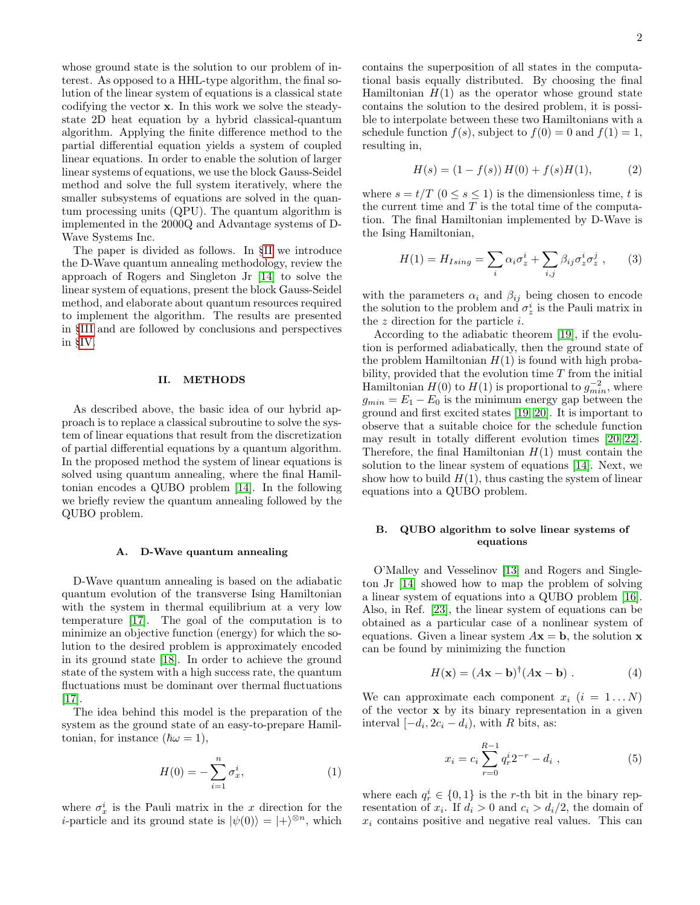whose ground state is the solution to our problem of interest. As opposed to a HHL-type algorithm, the final solution of the linear system of equations is a classical state codifying the vector x. In this work we solve the steadystate 2D heat equation by a hybrid classical-quantum algorithm. Applying the finite difference method to the partial differential equation yields a system of coupled linear equations. In order to enable the solution of larger linear systems of equations, we use the block Gauss-Seidel method and solve the full system iteratively, where the smaller subsystems of equations are solved in the quantum processing units (QPU). The quantum algorithm is implemented in the 2000Q and Advantage systems of D-Wave Systems Inc.

The paper is divided as follows. In §[II](#page-1-0) we introduce the D-Wave quantum annealing methodology, review the approach of Rogers and Singleton Jr [\[14\]](#page-6-9) to solve the linear system of equations, present the block Gauss-Seidel method, and elaborate about quantum resources required to implement the algorithm. The results are presented in §[III](#page-3-0) and are followed by conclusions and perspectives in §[IV.](#page-5-0)

## <span id="page-1-0"></span>II. METHODS

As described above, the basic idea of our hybrid approach is to replace a classical subroutine to solve the system of linear equations that result from the discretization of partial differential equations by a quantum algorithm. In the proposed method the system of linear equations is solved using quantum annealing, where the final Hamiltonian encodes a QUBO problem [\[14\]](#page-6-9). In the following we briefly review the quantum annealing followed by the QUBO problem.

### A. D-Wave quantum annealing

D-Wave quantum annealing is based on the adiabatic quantum evolution of the transverse Ising Hamiltonian with the system in thermal equilibrium at a very low temperature [\[17\]](#page-6-12). The goal of the computation is to minimize an objective function (energy) for which the solution to the desired problem is approximately encoded in its ground state [\[18\]](#page-6-13). In order to achieve the ground state of the system with a high success rate, the quantum fluctuations must be dominant over thermal fluctuations [\[17\]](#page-6-12).

The idea behind this model is the preparation of the system as the ground state of an easy-to-prepare Hamiltonian, for instance  $(\hbar \omega = 1)$ ,

$$
H(0) = -\sum_{i=1}^{n} \sigma_x^i,
$$
 (1)

where  $\sigma_x^i$  is the Pauli matrix in the x direction for the *i*-particle and its ground state is  $|\psi(0)\rangle = |+\rangle^{\otimes n}$ , which contains the superposition of all states in the computational basis equally distributed. By choosing the final Hamiltonian  $H(1)$  as the operator whose ground state contains the solution to the desired problem, it is possible to interpolate between these two Hamiltonians with a schedule function  $f(s)$ , subject to  $f(0) = 0$  and  $f(1) = 1$ , resulting in,

$$
H(s) = (1 - f(s)) H(0) + f(s)H(1), \tag{2}
$$

where  $s = t/T$   $(0 \le s \le 1)$  is the dimensionless time, t is the current time and  $T$  is the total time of the computation. The final Hamiltonian implemented by D-Wave is the Ising Hamiltonian,

<span id="page-1-3"></span>
$$
H(1) = H_{Ising} = \sum_{i} \alpha_i \sigma_z^i + \sum_{i,j} \beta_{ij} \sigma_z^i \sigma_z^j , \qquad (3)
$$

with the parameters  $\alpha_i$  and  $\beta_{ij}$  being chosen to encode the solution to the problem and  $\sigma_z^i$  is the Pauli matrix in the  $z$  direction for the particle  $i$ .

According to the adiabatic theorem [\[19\]](#page-6-14), if the evolution is performed adiabatically, then the ground state of the problem Hamiltonian  $H(1)$  is found with high probability, provided that the evolution time  $T$  from the initial Hamiltonian  $H(0)$  to  $H(1)$  is proportional to  $g_{min}^{-2}$ , where  $g_{min} = E_1 - E_0$  is the minimum energy gap between the ground and first excited states [\[19,](#page-6-14) [20\]](#page-6-15). It is important to observe that a suitable choice for the schedule function may result in totally different evolution times [\[20–](#page-6-15)[22\]](#page-6-16). Therefore, the final Hamiltonian  $H(1)$  must contain the solution to the linear system of equations [\[14\]](#page-6-9). Next, we show how to build  $H(1)$ , thus casting the system of linear equations into a QUBO problem.

## B. QUBO algorithm to solve linear systems of equations

O'Malley and Vesselinov [\[13\]](#page-6-8) and Rogers and Singleton Jr [\[14\]](#page-6-9) showed how to map the problem of solving a linear system of equations into a QUBO problem [\[16\]](#page-6-11). Also, in Ref. [\[23\]](#page-6-17), the linear system of equations can be obtained as a particular case of a nonlinear system of equations. Given a linear system  $A\mathbf{x} = \mathbf{b}$ , the solution **x** can be found by minimizing the function

<span id="page-1-2"></span>
$$
H(\mathbf{x}) = (A\mathbf{x} - \mathbf{b})^{\dagger} (A\mathbf{x} - \mathbf{b}) . \tag{4}
$$

We can approximate each component  $x_i$   $(i = 1...N)$ of the vector x by its binary representation in a given interval  $[-d_i, 2c_i - d_i)$ , with R bits, as:

<span id="page-1-1"></span>
$$
x_i = c_i \sum_{r=0}^{R-1} q_r^i 2^{-r} - d_i , \qquad (5)
$$

where each  $q_r^i \in \{0,1\}$  is the r-th bit in the binary representation of  $x_i$ . If  $d_i > 0$  and  $c_i > d_i/2$ , the domain of  $x_i$  contains positive and negative real values. This can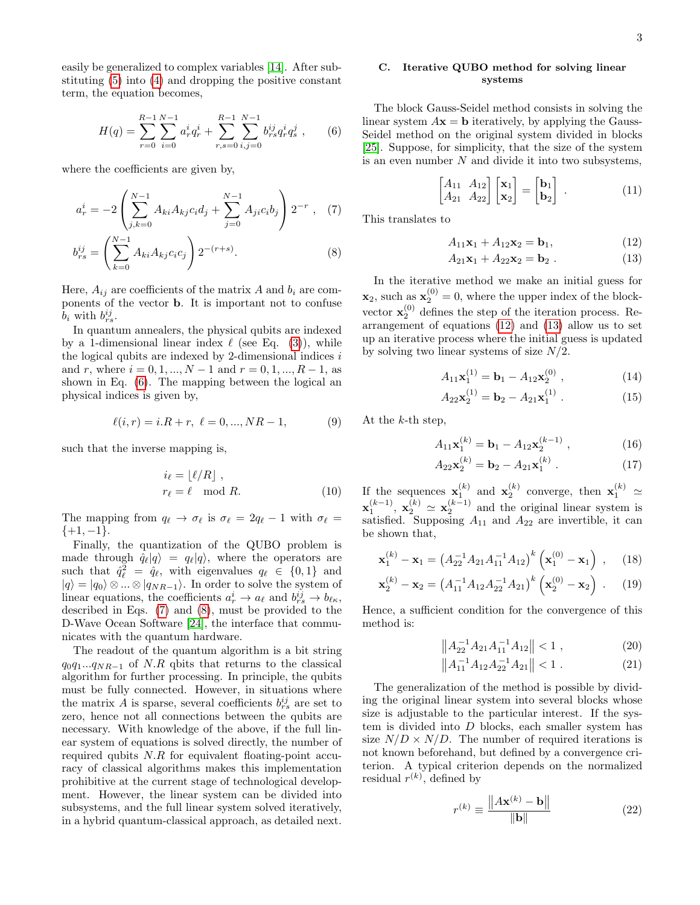easily be generalized to complex variables [\[14\]](#page-6-9). After substituting [\(5\)](#page-1-1) into [\(4\)](#page-1-2) and dropping the positive constant term, the equation becomes,

$$
H(q) = \sum_{r=0}^{R-1} \sum_{i=0}^{N-1} a_r^i q_r^i + \sum_{r,s=0}^{R-1} \sum_{i,j=0}^{N-1} b_{rs}^{ij} q_r^i q_s^j , \qquad (6)
$$

where the coefficients are given by,

$$
a_r^i = -2 \left( \sum_{j,k=0}^{N-1} A_{ki} A_{kj} c_i d_j + \sum_{j=0}^{N-1} A_{ji} c_i b_j \right) 2^{-r}, \quad (7)
$$
  

$$
b_{rs}^{ij} = \left( \sum_{k=0}^{N-1} A_{ki} A_{kj} c_i c_j \right) 2^{-(r+s)}.
$$

Here,  $A_{ij}$  are coefficients of the matrix A and  $b_i$  are components of the vector b. It is important not to confuse  $b_i$  with  $b_{rs}^{ij}$ .

In quantum annealers, the physical qubits are indexed by a 1-dimensional linear index  $\ell$  (see Eq. [\(3\)](#page-1-3)), while the logical qubits are indexed by 2-dimensional indices  $i$ and r, where  $i = 0, 1, ..., N - 1$  and  $r = 0, 1, ..., R - 1$ , as shown in Eq. [\(6\)](#page-2-0). The mapping between the logical an physical indices is given by,

$$
\ell(i, r) = i.R + r, \ \ell = 0, ..., NR - 1,\tag{9}
$$

such that the inverse mapping is,

$$
i_{\ell} = \lfloor \ell/R \rfloor ,
$$
  

$$
r_{\ell} = \ell \mod R.
$$
 (10)

The mapping from  $q_\ell \to \sigma_\ell$  is  $\sigma_\ell = 2q_\ell - 1$  with  $\sigma_\ell =$  $\{+1, -1\}.$ 

Finally, the quantization of the QUBO problem is made through  $\hat{q}_{\ell}|q\rangle = q_{\ell}|q\rangle$ , where the operators are such that  $\hat{q}_{\ell}^2 = \hat{q}_{\ell}$ , with eigenvalues  $q_{\ell} \in \{0, 1\}$  and  $|q\rangle = |q_0\rangle \otimes ... \otimes |q_{NR-1}\rangle$ . In order to solve the system of linear equations, the coefficients  $a_r^i \to a_\ell$  and  $b_{rs}^{ij} \to b_{\ell\kappa}$ , described in Eqs. [\(7\)](#page-2-1) and [\(8\)](#page-2-2), must be provided to the D-Wave Ocean Software [\[24\]](#page-6-18), the interface that communicates with the quantum hardware.

The readout of the quantum algorithm is a bit string  $q_0q_1...q_{NR-1}$  of N.R qbits that returns to the classical algorithm for further processing. In principle, the qubits must be fully connected. However, in situations where the matrix A is sparse, several coefficients  $b_{rs}^{ij}$  are set to zero, hence not all connections between the qubits are necessary. With knowledge of the above, if the full linear system of equations is solved directly, the number of required qubits  $N.R$  for equivalent floating-point accuracy of classical algorithms makes this implementation prohibitive at the current stage of technological development. However, the linear system can be divided into subsystems, and the full linear system solved iteratively, in a hybrid quantum-classical approach, as detailed next.

# C. Iterative QUBO method for solving linear systems

<span id="page-2-0"></span>The block Gauss-Seidel method consists in solving the linear system  $A\mathbf{x} = \mathbf{b}$  iteratively, by applying the Gauss-Seidel method on the original system divided in blocks [\[25\]](#page-6-19). Suppose, for simplicity, that the size of the system is an even number  $N$  and divide it into two subsystems,

$$
\begin{bmatrix} A_{11} & A_{12} \\ A_{21} & A_{22} \end{bmatrix} \begin{bmatrix} \mathbf{x}_1 \\ \mathbf{x}_2 \end{bmatrix} = \begin{bmatrix} \mathbf{b}_1 \\ \mathbf{b}_2 \end{bmatrix} . \tag{11}
$$

<span id="page-2-2"></span><span id="page-2-1"></span>This translates to

<span id="page-2-3"></span>
$$
A_{11}x_1 + A_{12}x_2 = b_1, \t\t(12)
$$

<span id="page-2-4"></span>
$$
A_{21}x_1 + A_{22}x_2 = b_2 . \t\t(13)
$$

In the iterative method we make an initial guess for  $\mathbf{x}_2$ , such as  $\mathbf{x}_2^{(0)} = 0$ , where the upper index of the blockvector  $\mathbf{x}_2^{(0)}$  defines the step of the iteration process. Rearrangement of equations [\(12\)](#page-2-3) and [\(13\)](#page-2-4) allow us to set up an iterative process where the initial guess is updated by solving two linear systems of size  $N/2$ .

$$
A_{11}\mathbf{x}_1^{(1)} = \mathbf{b}_1 - A_{12}\mathbf{x}_2^{(0)}\,,\tag{14}
$$

<span id="page-2-5"></span>
$$
A_{22} \mathbf{x}_2^{(1)} = \mathbf{b}_2 - A_{21} \mathbf{x}_1^{(1)} . \tag{15}
$$

At the  $k$ -th step,

$$
A_{11}\mathbf{x}_1^{(k)} = \mathbf{b}_1 - A_{12}\mathbf{x}_2^{(k-1)},\tag{16}
$$

<span id="page-2-6"></span>
$$
A_{22} \mathbf{x}_2^{(k)} = \mathbf{b}_2 - A_{21} \mathbf{x}_1^{(k)} . \tag{17}
$$

If the sequences  $\mathbf{x}_1^{(k)}$  and  $\mathbf{x}_2^{(k)}$  converge, then  $\mathbf{x}_1^{(k)} \simeq$  $\mathbf{x}_1^{(k-1)}$ ,  $\mathbf{x}_2^{(k)} \simeq \mathbf{x}_2^{(k-1)}$  and the original linear system is satisfied. Supposing  $A_{11}$  and  $A_{22}$  are invertible, it can be shown that,

$$
\mathbf{x}_1^{(k)} - \mathbf{x}_1 = \left(A_{22}^{-1} A_{21} A_{11}^{-1} A_{12}\right)^k \left(\mathbf{x}_1^{(0)} - \mathbf{x}_1\right) ,\quad (18)
$$

$$
\mathbf{x}_2^{(k)} - \mathbf{x}_2 = \left(A_{11}^{-1} A_{12} A_{22}^{-1} A_{21}\right)^k \left(\mathbf{x}_2^{(0)} - \mathbf{x}_2\right) \ . \tag{19}
$$

Hence, a sufficient condition for the convergence of this method is:

$$
\left\| A_{22}^{-1} A_{21} A_{11}^{-1} A_{12} \right\| < 1 \tag{20}
$$

$$
||A_{11}^{-1}A_{12}A_{22}^{-1}A_{21}|| < 1.
$$
 (21)

The generalization of the method is possible by dividing the original linear system into several blocks whose size is adjustable to the particular interest. If the system is divided into D blocks, each smaller system has size  $N/D \times N/D$ . The number of required iterations is not known beforehand, but defined by a convergence criterion. A typical criterion depends on the normalized residual  $r^{(k)}$ , defined by

$$
r^{(k)} \equiv \frac{\|A\mathbf{x}^{(k)} - \mathbf{b}\|}{\|\mathbf{b}\|}\tag{22}
$$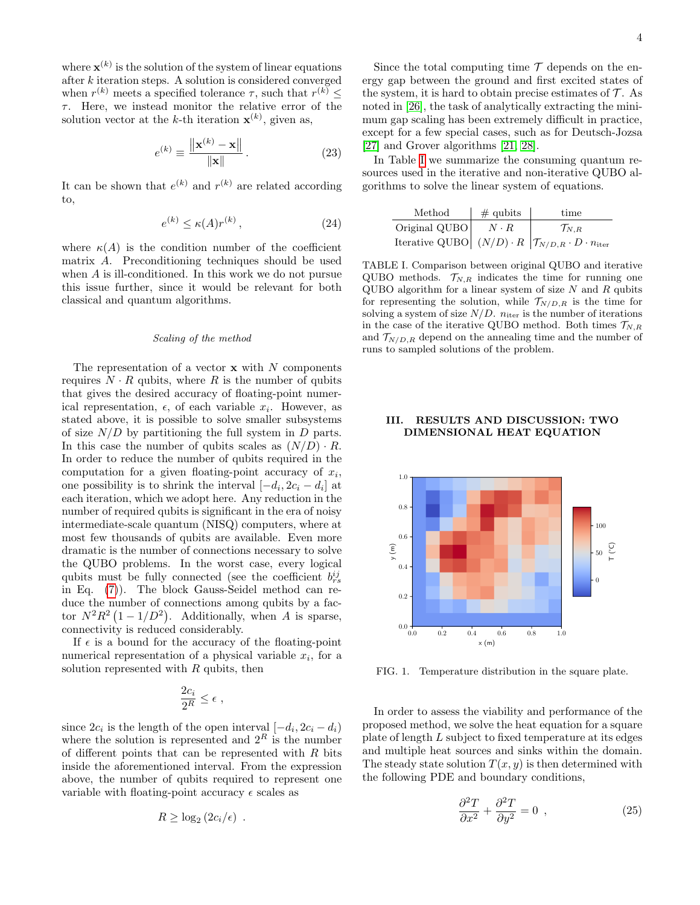where  $\mathbf{x}^{(k)}$  is the solution of the system of linear equations after k iteration steps. A solution is considered converged when  $r^{(k)}$  meets a specified tolerance  $\tau$ , such that  $r^{(k)} \leq$  $\tau$ . Here, we instead monitor the relative error of the solution vector at the k-th iteration  $\mathbf{x}^{(k)}$ , given as,

$$
e^{(k)} \equiv \frac{\|\mathbf{x}^{(k)} - \mathbf{x}\|}{\|\mathbf{x}\|}.
$$
 (23)

It can be shown that  $e^{(k)}$  and  $r^{(k)}$  are related according to,

$$
e^{(k)} \le \kappa(A)r^{(k)},\tag{24}
$$

where  $\kappa(A)$  is the condition number of the coefficient matrix A. Preconditioning techniques should be used when A is ill-conditioned. In this work we do not pursue this issue further, since it would be relevant for both classical and quantum algorithms.

### Scaling of the method

The representation of a vector  $x$  with N components requires  $N \cdot R$  qubits, where R is the number of qubits that gives the desired accuracy of floating-point numerical representation,  $\epsilon$ , of each variable  $x_i$ . However, as stated above, it is possible to solve smaller subsystems of size  $N/D$  by partitioning the full system in  $D$  parts. In this case the number of qubits scales as  $(N/D) \cdot R$ . In order to reduce the number of qubits required in the computation for a given floating-point accuracy of  $x_i$ , one possibility is to shrink the interval  $[-d_i, 2c_i - d_i]$  at each iteration, which we adopt here. Any reduction in the number of required qubits is significant in the era of noisy intermediate-scale quantum (NISQ) computers, where at most few thousands of qubits are available. Even more dramatic is the number of connections necessary to solve the QUBO problems. In the worst case, every logical qubits must be fully connected (see the coefficient  $b_{rs}^{ij}$ in Eq. [\(7\)](#page-2-1)). The block Gauss-Seidel method can reduce the number of connections among qubits by a factor  $N^2R^2(1-1/D^2)$ . Additionally, when A is sparse, connectivity is reduced considerably.

If  $\epsilon$  is a bound for the accuracy of the floating-point numerical representation of a physical variable  $x_i$ , for a solution represented with  $R$  qubits, then

$$
\frac{2c_i}{2^R} \leq \epsilon ,
$$

since  $2c_i$  is the length of the open interval  $[-d_i, 2c_i - d_i]$ where the solution is represented and  $2^R$  is the number of different points that can be represented with  $R$  bits inside the aforementioned interval. From the expression above, the number of qubits required to represent one variable with floating-point accuracy  $\epsilon$  scales as

$$
R \geq \log_2\left(2c_i/\epsilon\right) \ .
$$

Since the total computing time  $\mathcal T$  depends on the energy gap between the ground and first excited states of the system, it is hard to obtain precise estimates of  $\mathcal{T}$ . As noted in [\[26\]](#page-6-20), the task of analytically extracting the minimum gap scaling has been extremely difficult in practice, except for a few special cases, such as for Deutsch-Jozsa [\[27\]](#page-6-21) and Grover algorithms [\[21,](#page-6-22) [28\]](#page-6-23).

<span id="page-3-3"></span>In Table [I](#page-3-1) we summarize the consuming quantum resources used in the iterative and non-iterative QUBO algorithms to solve the linear system of equations.

| Method        | $\#$ qubits | time                                                                                            |
|---------------|-------------|-------------------------------------------------------------------------------------------------|
| Original QUBO | $N \cdot R$ | $\mathcal{T}_{N,R}$                                                                             |
|               |             | Iterative QUBO $(N/D) \cdot R \left  \mathcal{T}_{N/D,R} \cdot D \cdot n_{\text{iter}} \right $ |

<span id="page-3-1"></span>TABLE I. Comparison between original QUBO and iterative QUBO methods.  $\mathcal{T}_{N,R}$  indicates the time for running one QUBO algorithm for a linear system of size  $N$  and  $R$  qubits for representing the solution, while  $\mathcal{T}_{N/D,R}$  is the time for solving a system of size  $N/D$ .  $n_{\text{iter}}$  is the number of iterations in the case of the iterative QUBO method. Both times  $\mathcal{T}_{N,R}$ and  $\mathcal{T}_{N/D,R}$  depend on the annealing time and the number of runs to sampled solutions of the problem.

## <span id="page-3-0"></span>III. RESULTS AND DISCUSSION: TWO DIMENSIONAL HEAT EQUATION



<span id="page-3-2"></span>FIG. 1. Temperature distribution in the square plate.

In order to assess the viability and performance of the proposed method, we solve the heat equation for a square plate of length L subject to fixed temperature at its edges and multiple heat sources and sinks within the domain. The steady state solution  $T(x, y)$  is then determined with the following PDE and boundary conditions,

$$
\frac{\partial^2 T}{\partial x^2} + \frac{\partial^2 T}{\partial y^2} = 0 \tag{25}
$$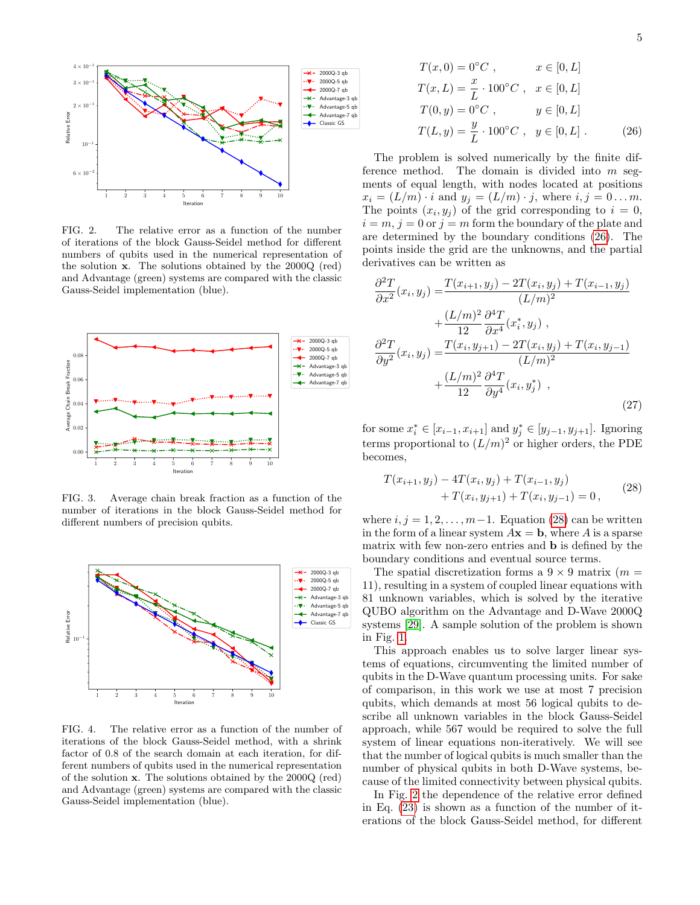

<span id="page-4-2"></span>FIG. 2. The relative error as a function of the number of iterations of the block Gauss-Seidel method for different numbers of qubits used in the numerical representation of the solution x. The solutions obtained by the 2000Q (red) and Advantage (green) systems are compared with the classic Gauss-Seidel implementation (blue).



<span id="page-4-3"></span>FIG. 3. Average chain break fraction as a function of the number of iterations in the block Gauss-Seidel method for different numbers of precision qubits.



<span id="page-4-4"></span>FIG. 4. The relative error as a function of the number of iterations of the block Gauss-Seidel method, with a shrink factor of 0.8 of the search domain at each iteration, for different numbers of qubits used in the numerical representation of the solution x. The solutions obtained by the 2000Q (red) and Advantage (green) systems are compared with the classic Gauss-Seidel implementation (blue).

<span id="page-4-0"></span>
$$
T(x, 0) = 0^{\circ}C, \qquad x \in [0, L]
$$
  
\n
$$
T(x, L) = \frac{x}{L} \cdot 100^{\circ}C, \qquad x \in [0, L]
$$
  
\n
$$
T(0, y) = 0^{\circ}C, \qquad y \in [0, L]
$$
  
\n
$$
T(L, y) = \frac{y}{L} \cdot 100^{\circ}C, \quad y \in [0, L]
$$
 (26)

The problem is solved numerically by the finite difference method. The domain is divided into  $m$  segments of equal length, with nodes located at positions  $x_i = (L/m) \cdot i$  and  $y_i = (L/m) \cdot j$ , where  $i, j = 0 \dots m$ . The points  $(x_i, y_j)$  of the grid corresponding to  $i = 0$ ,  $i = m, j = 0$  or  $j = m$  form the boundary of the plate and are determined by the boundary conditions [\(26\)](#page-4-0). The points inside the grid are the unknowns, and the partial derivatives can be written as

$$
\frac{\partial^2 T}{\partial x^2}(x_i, y_j) = \frac{T(x_{i+1}, y_j) - 2T(x_i, y_j) + T(x_{i-1}, y_j)}{(L/m)^2} \n+ \frac{(L/m)^2}{12} \frac{\partial^4 T}{\partial x^4}(x_i^*, y_j) ,\n\frac{\partial^2 T}{\partial y^2}(x_i, y_j) = \frac{T(x_i, y_{j+1}) - 2T(x_i, y_j) + T(x_i, y_{j-1})}{(L/m)^2} \n+ \frac{(L/m)^2}{12} \frac{\partial^4 T}{\partial y^4}(x_i, y_j^*) ,
$$
\n(27)

for some  $x_i^* \in [x_{i-1}, x_{i+1}]$  and  $y_j^* \in [y_{j-1}, y_{j+1}]$ . Ignoring terms proportional to  $(L/m)^2$  or higher orders, the PDE becomes,

<span id="page-4-1"></span>
$$
T(x_{i+1}, y_j) - 4T(x_i, y_j) + T(x_{i-1}, y_j)
$$
  
+ 
$$
T(x_i, y_{j+1}) + T(x_i, y_{j-1}) = 0,
$$
 (28)

where  $i, j = 1, 2, \ldots, m-1$ . Equation [\(28\)](#page-4-1) can be written in the form of a linear system  $A\mathbf{x} = \mathbf{b}$ , where A is a sparse matrix with few non-zero entries and b is defined by the boundary conditions and eventual source terms.

The spatial discretization forms a  $9 \times 9$  matrix (m = 11), resulting in a system of coupled linear equations with 81 unknown variables, which is solved by the iterative QUBO algorithm on the Advantage and D-Wave 2000Q systems [\[29\]](#page-6-24). A sample solution of the problem is shown in Fig. [1.](#page-3-2)

This approach enables us to solve larger linear systems of equations, circumventing the limited number of qubits in the D-Wave quantum processing units. For sake of comparison, in this work we use at most 7 precision qubits, which demands at most 56 logical qubits to describe all unknown variables in the block Gauss-Seidel approach, while 567 would be required to solve the full system of linear equations non-iteratively. We will see that the number of logical qubits is much smaller than the number of physical qubits in both D-Wave systems, because of the limited connectivity between physical qubits.

In Fig. [2](#page-4-2) the dependence of the relative error defined in Eq. [\(23\)](#page-3-3) is shown as a function of the number of iterations of the block Gauss-Seidel method, for different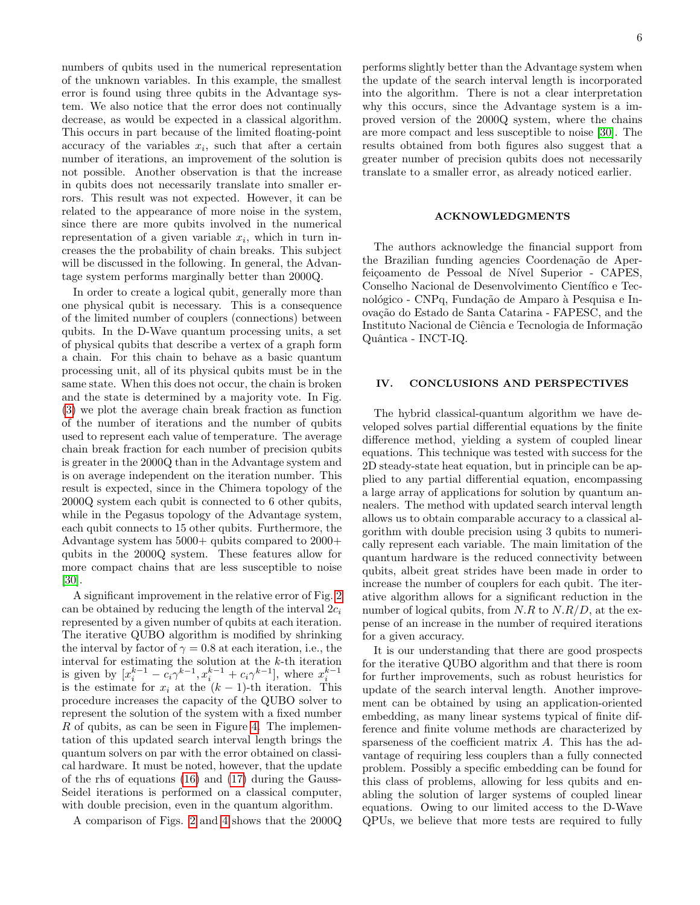numbers of qubits used in the numerical representation of the unknown variables. In this example, the smallest error is found using three qubits in the Advantage system. We also notice that the error does not continually decrease, as would be expected in a classical algorithm. This occurs in part because of the limited floating-point accuracy of the variables  $x_i$ , such that after a certain number of iterations, an improvement of the solution is not possible. Another observation is that the increase in qubits does not necessarily translate into smaller errors. This result was not expected. However, it can be related to the appearance of more noise in the system, since there are more qubits involved in the numerical representation of a given variable  $x_i$ , which in turn increases the the probability of chain breaks. This subject will be discussed in the following. In general, the Advantage system performs marginally better than 2000Q.

In order to create a logical qubit, generally more than one physical qubit is necessary. This is a consequence of the limited number of couplers (connections) between qubits. In the D-Wave quantum processing units, a set of physical qubits that describe a vertex of a graph form a chain. For this chain to behave as a basic quantum processing unit, all of its physical qubits must be in the same state. When this does not occur, the chain is broken and the state is determined by a majority vote. In Fig. [\(3\)](#page-4-3) we plot the average chain break fraction as function of the number of iterations and the number of qubits used to represent each value of temperature. The average chain break fraction for each number of precision qubits is greater in the 2000Q than in the Advantage system and is on average independent on the iteration number. This result is expected, since in the Chimera topology of the 2000Q system each qubit is connected to 6 other qubits, while in the Pegasus topology of the Advantage system, each qubit connects to 15 other qubits. Furthermore, the Advantage system has 5000+ qubits compared to 2000+ qubits in the 2000Q system. These features allow for more compact chains that are less susceptible to noise [\[30\]](#page-6-25).

A significant improvement in the relative error of Fig. [2](#page-4-2) can be obtained by reducing the length of the interval  $2c_i$ represented by a given number of qubits at each iteration. The iterative QUBO algorithm is modified by shrinking the interval by factor of  $\gamma = 0.8$  at each iteration, i.e., the interval for estimating the solution at the k-th iteration is given by  $[x_i^{k-1} - c_i \gamma^{k-1}, x_i^{k-1} + c_i \gamma^{k-1}],$  where  $x_i^{k-1}$ is the estimate for  $x_i$  at the  $(k-1)$ -th iteration. This procedure increases the capacity of the QUBO solver to represent the solution of the system with a fixed number R of qubits, as can be seen in Figure [4.](#page-4-4) The implementation of this updated search interval length brings the quantum solvers on par with the error obtained on classical hardware. It must be noted, however, that the update of the rhs of equations [\(16\)](#page-2-5) and [\(17\)](#page-2-6) during the Gauss-Seidel iterations is performed on a classical computer, with double precision, even in the quantum algorithm.

A comparison of Figs. [2](#page-4-2) and [4](#page-4-4) shows that the 2000Q

performs slightly better than the Advantage system when the update of the search interval length is incorporated into the algorithm. There is not a clear interpretation why this occurs, since the Advantage system is a improved version of the 2000Q system, where the chains are more compact and less susceptible to noise [\[30\]](#page-6-25). The results obtained from both figures also suggest that a greater number of precision qubits does not necessarily translate to a smaller error, as already noticed earlier.

### ACKNOWLEDGMENTS

The authors acknowledge the financial support from the Brazilian funding agencies Coordenação de Aperfeiçoamento de Pessoal de Nível Superior - CAPES, Conselho Nacional de Desenvolvimento Científico e Tecnológico - CNPq, Fundação de Amparo à Pesquisa e Inovação do Estado de Santa Catarina - FAPESC, and the Instituto Nacional de Ciência e Tecnologia de Informação Quântica - INCT-IQ.

### <span id="page-5-0"></span>IV. CONCLUSIONS AND PERSPECTIVES

The hybrid classical-quantum algorithm we have developed solves partial differential equations by the finite difference method, yielding a system of coupled linear equations. This technique was tested with success for the 2D steady-state heat equation, but in principle can be applied to any partial differential equation, encompassing a large array of applications for solution by quantum annealers. The method with updated search interval length allows us to obtain comparable accuracy to a classical algorithm with double precision using 3 qubits to numerically represent each variable. The main limitation of the quantum hardware is the reduced connectivity between qubits, albeit great strides have been made in order to increase the number of couplers for each qubit. The iterative algorithm allows for a significant reduction in the number of logical qubits, from  $N.R$  to  $N.R/D$ , at the expense of an increase in the number of required iterations for a given accuracy.

It is our understanding that there are good prospects for the iterative QUBO algorithm and that there is room for further improvements, such as robust heuristics for update of the search interval length. Another improvement can be obtained by using an application-oriented embedding, as many linear systems typical of finite difference and finite volume methods are characterized by sparseness of the coefficient matrix A. This has the advantage of requiring less couplers than a fully connected problem. Possibly a specific embedding can be found for this class of problems, allowing for less qubits and enabling the solution of larger systems of coupled linear equations. Owing to our limited access to the D-Wave QPUs, we believe that more tests are required to fully